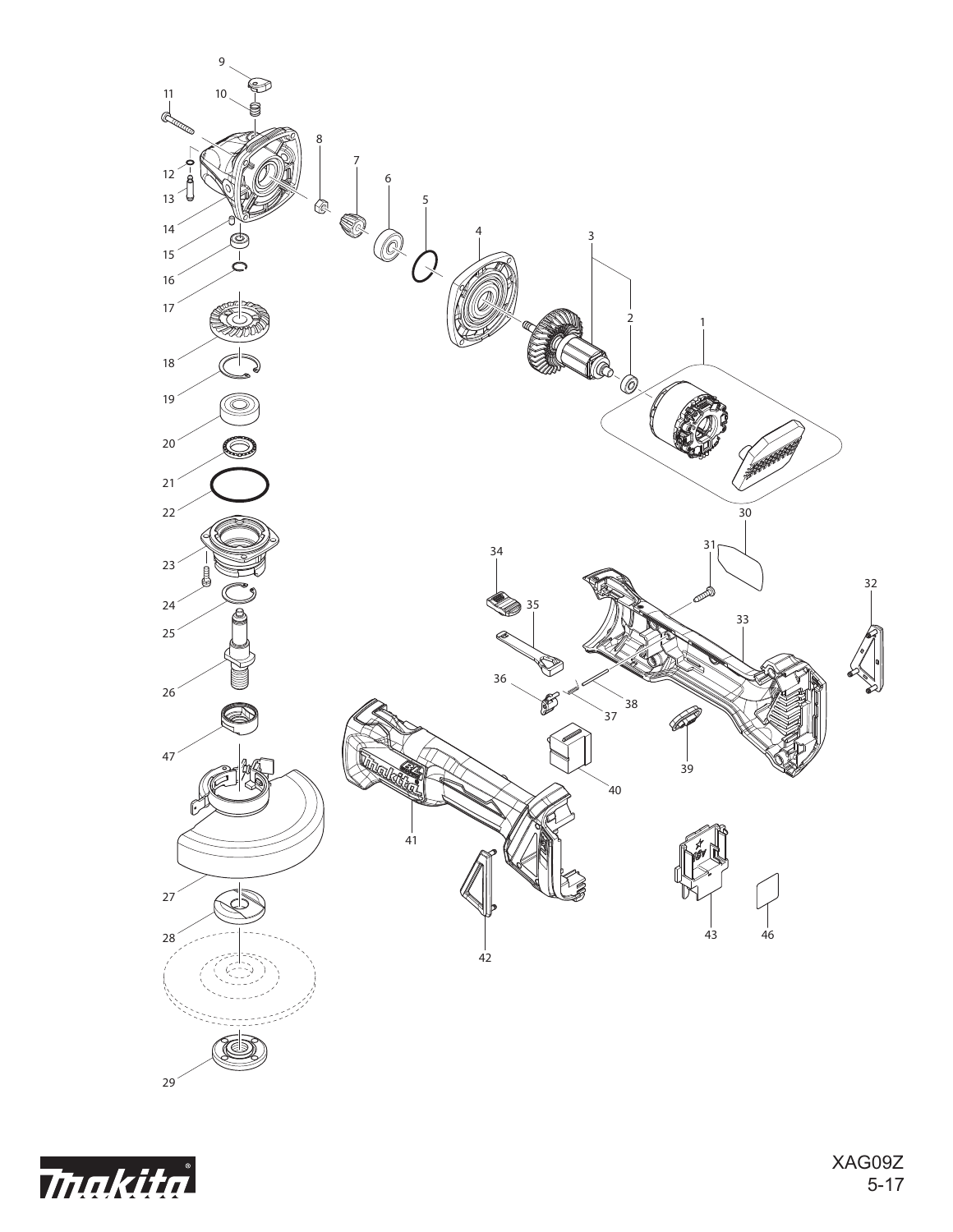

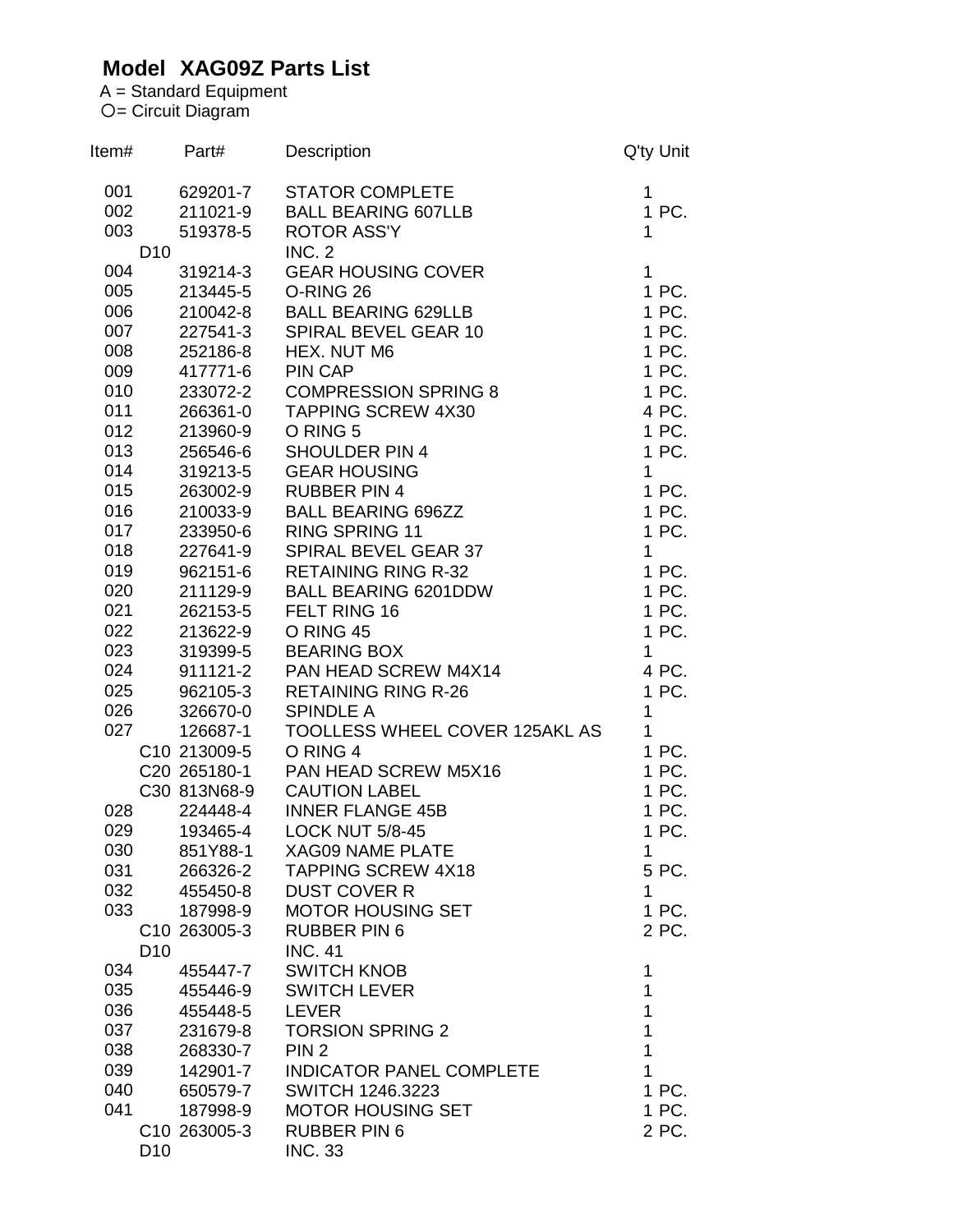## **Model XAG09Z Parts List**

A = Standard Equipment = Circuit Diagram

| 001<br><b>STATOR COMPLETE</b><br>629201-7<br>1<br>1 PC.<br>002<br>211021-9<br><b>BALL BEARING 607LLB</b><br>003<br>519378-5<br><b>ROTOR ASS'Y</b><br>1<br><b>INC. 2</b><br>D <sub>10</sub><br>004<br><b>GEAR HOUSING COVER</b><br>$\mathbf{1}$<br>319214-3<br>005<br>O-RING 26<br>1 PC.<br>213445-5<br>1 PC.<br>006<br><b>BALL BEARING 629LLB</b><br>210042-8<br>1 PC.<br>007<br>SPIRAL BEVEL GEAR 10<br>227541-3<br>008<br>1 PC.<br>252186-8<br>HEX. NUT M6<br>009<br>417771-6<br>PIN CAP<br>1 PC.<br>010<br><b>COMPRESSION SPRING 8</b><br>1 PC.<br>233072-2<br>011<br><b>TAPPING SCREW 4X30</b><br>4 PC.<br>266361-0<br>012<br>1 PC.<br>O RING 5<br>213960-9<br>013<br>1 PC.<br><b>SHOULDER PIN 4</b><br>256546-6<br>$\mathbf{1}$<br>014<br><b>GEAR HOUSING</b><br>319213-5<br>015<br><b>RUBBER PIN 4</b><br>1 PC.<br>263002-9<br>016<br>1 PC.<br>210033-9<br><b>BALL BEARING 696ZZ</b><br>1 PC.<br>017<br>233950-6<br><b>RING SPRING 11</b><br>018<br>SPIRAL BEVEL GEAR 37<br>$\mathbf{1}$<br>227641-9<br>019<br><b>RETAINING RING R-32</b><br>1 PC.<br>962151-6<br>020<br>1 PC.<br>211129-9<br><b>BALL BEARING 6201DDW</b><br>1 PC.<br>021<br>FELT RING 16<br>262153-5<br>022<br>1 PC.<br>213622-9<br>O RING 45<br>023<br>319399-5<br><b>BEARING BOX</b><br>1<br>024<br>911121-2<br>PAN HEAD SCREW M4X14<br>4 PC.<br>025<br><b>RETAINING RING R-26</b><br>1 PC.<br>962105-3<br>1<br>026<br>326670-0<br><b>SPINDLE A</b><br>027<br>TOOLLESS WHEEL COVER 125AKL AS<br>$\mathbf{1}$<br>126687-1<br>1 PC.<br>C10 213009-5<br>O RING 4<br>1 PC.<br>C20 265180-1<br>PAN HEAD SCREW M5X16<br>1 PC.<br><b>CAUTION LABEL</b><br>C30 813N68-9<br>1 PC.<br>028<br><b>INNER FLANGE 45B</b><br>224448-4<br>029<br><b>LOCK NUT 5/8-45</b><br>1 PC.<br>193465-4<br>030<br>851Y88-1<br><b>XAG09 NAME PLATE</b><br>1<br><b>TAPPING SCREW 4X18</b><br>031<br>5 PC.<br>266326-2<br>032<br><b>DUST COVER R</b><br>455450-8<br>1<br>033<br><b>MOTOR HOUSING SET</b><br>1 PC.<br>187998-9<br>2 PC.<br><b>RUBBER PIN 6</b><br>C <sub>10</sub> 263005-3<br><b>INC. 41</b><br>D <sub>10</sub><br>034<br><b>SWITCH KNOB</b><br>$\mathbf 1$<br>455447-7<br>035<br>1<br><b>SWITCH LEVER</b><br>455446-9<br>1<br>036<br>455448-5<br>LEVER<br>1<br>037<br>231679-8<br><b>TORSION SPRING 2</b><br>$\mathbf{1}$<br>038<br>268330-7<br>PIN <sub>2</sub><br>$\mathbf{1}$<br>039<br>142901-7<br><b>INDICATOR PANEL COMPLETE</b><br>040<br>1 PC.<br>650579-7<br><b>SWITCH 1246.3223</b><br>041<br>1 PC.<br>187998-9<br><b>MOTOR HOUSING SET</b><br><b>RUBBER PIN 6</b><br>2 PC.<br>C10 263005-3 | ltem# | Part# | Description    | Q'ty Unit |
|------------------------------------------------------------------------------------------------------------------------------------------------------------------------------------------------------------------------------------------------------------------------------------------------------------------------------------------------------------------------------------------------------------------------------------------------------------------------------------------------------------------------------------------------------------------------------------------------------------------------------------------------------------------------------------------------------------------------------------------------------------------------------------------------------------------------------------------------------------------------------------------------------------------------------------------------------------------------------------------------------------------------------------------------------------------------------------------------------------------------------------------------------------------------------------------------------------------------------------------------------------------------------------------------------------------------------------------------------------------------------------------------------------------------------------------------------------------------------------------------------------------------------------------------------------------------------------------------------------------------------------------------------------------------------------------------------------------------------------------------------------------------------------------------------------------------------------------------------------------------------------------------------------------------------------------------------------------------------------------------------------------------------------------------------------------------------------------------------------------------------------------------------------------------------------------------------------------------------------------------------------------------------------------------------------------------------------------------------------------------------------------------------------------------------------------------------------------------------------------------------------------------------------------------------------------|-------|-------|----------------|-----------|
|                                                                                                                                                                                                                                                                                                                                                                                                                                                                                                                                                                                                                                                                                                                                                                                                                                                                                                                                                                                                                                                                                                                                                                                                                                                                                                                                                                                                                                                                                                                                                                                                                                                                                                                                                                                                                                                                                                                                                                                                                                                                                                                                                                                                                                                                                                                                                                                                                                                                                                                                                                  |       |       |                |           |
|                                                                                                                                                                                                                                                                                                                                                                                                                                                                                                                                                                                                                                                                                                                                                                                                                                                                                                                                                                                                                                                                                                                                                                                                                                                                                                                                                                                                                                                                                                                                                                                                                                                                                                                                                                                                                                                                                                                                                                                                                                                                                                                                                                                                                                                                                                                                                                                                                                                                                                                                                                  |       |       |                |           |
|                                                                                                                                                                                                                                                                                                                                                                                                                                                                                                                                                                                                                                                                                                                                                                                                                                                                                                                                                                                                                                                                                                                                                                                                                                                                                                                                                                                                                                                                                                                                                                                                                                                                                                                                                                                                                                                                                                                                                                                                                                                                                                                                                                                                                                                                                                                                                                                                                                                                                                                                                                  |       |       |                |           |
|                                                                                                                                                                                                                                                                                                                                                                                                                                                                                                                                                                                                                                                                                                                                                                                                                                                                                                                                                                                                                                                                                                                                                                                                                                                                                                                                                                                                                                                                                                                                                                                                                                                                                                                                                                                                                                                                                                                                                                                                                                                                                                                                                                                                                                                                                                                                                                                                                                                                                                                                                                  |       |       |                |           |
|                                                                                                                                                                                                                                                                                                                                                                                                                                                                                                                                                                                                                                                                                                                                                                                                                                                                                                                                                                                                                                                                                                                                                                                                                                                                                                                                                                                                                                                                                                                                                                                                                                                                                                                                                                                                                                                                                                                                                                                                                                                                                                                                                                                                                                                                                                                                                                                                                                                                                                                                                                  |       |       |                |           |
|                                                                                                                                                                                                                                                                                                                                                                                                                                                                                                                                                                                                                                                                                                                                                                                                                                                                                                                                                                                                                                                                                                                                                                                                                                                                                                                                                                                                                                                                                                                                                                                                                                                                                                                                                                                                                                                                                                                                                                                                                                                                                                                                                                                                                                                                                                                                                                                                                                                                                                                                                                  |       |       |                |           |
|                                                                                                                                                                                                                                                                                                                                                                                                                                                                                                                                                                                                                                                                                                                                                                                                                                                                                                                                                                                                                                                                                                                                                                                                                                                                                                                                                                                                                                                                                                                                                                                                                                                                                                                                                                                                                                                                                                                                                                                                                                                                                                                                                                                                                                                                                                                                                                                                                                                                                                                                                                  |       |       |                |           |
|                                                                                                                                                                                                                                                                                                                                                                                                                                                                                                                                                                                                                                                                                                                                                                                                                                                                                                                                                                                                                                                                                                                                                                                                                                                                                                                                                                                                                                                                                                                                                                                                                                                                                                                                                                                                                                                                                                                                                                                                                                                                                                                                                                                                                                                                                                                                                                                                                                                                                                                                                                  |       |       |                |           |
|                                                                                                                                                                                                                                                                                                                                                                                                                                                                                                                                                                                                                                                                                                                                                                                                                                                                                                                                                                                                                                                                                                                                                                                                                                                                                                                                                                                                                                                                                                                                                                                                                                                                                                                                                                                                                                                                                                                                                                                                                                                                                                                                                                                                                                                                                                                                                                                                                                                                                                                                                                  |       |       |                |           |
|                                                                                                                                                                                                                                                                                                                                                                                                                                                                                                                                                                                                                                                                                                                                                                                                                                                                                                                                                                                                                                                                                                                                                                                                                                                                                                                                                                                                                                                                                                                                                                                                                                                                                                                                                                                                                                                                                                                                                                                                                                                                                                                                                                                                                                                                                                                                                                                                                                                                                                                                                                  |       |       |                |           |
|                                                                                                                                                                                                                                                                                                                                                                                                                                                                                                                                                                                                                                                                                                                                                                                                                                                                                                                                                                                                                                                                                                                                                                                                                                                                                                                                                                                                                                                                                                                                                                                                                                                                                                                                                                                                                                                                                                                                                                                                                                                                                                                                                                                                                                                                                                                                                                                                                                                                                                                                                                  |       |       |                |           |
|                                                                                                                                                                                                                                                                                                                                                                                                                                                                                                                                                                                                                                                                                                                                                                                                                                                                                                                                                                                                                                                                                                                                                                                                                                                                                                                                                                                                                                                                                                                                                                                                                                                                                                                                                                                                                                                                                                                                                                                                                                                                                                                                                                                                                                                                                                                                                                                                                                                                                                                                                                  |       |       |                |           |
|                                                                                                                                                                                                                                                                                                                                                                                                                                                                                                                                                                                                                                                                                                                                                                                                                                                                                                                                                                                                                                                                                                                                                                                                                                                                                                                                                                                                                                                                                                                                                                                                                                                                                                                                                                                                                                                                                                                                                                                                                                                                                                                                                                                                                                                                                                                                                                                                                                                                                                                                                                  |       |       |                |           |
|                                                                                                                                                                                                                                                                                                                                                                                                                                                                                                                                                                                                                                                                                                                                                                                                                                                                                                                                                                                                                                                                                                                                                                                                                                                                                                                                                                                                                                                                                                                                                                                                                                                                                                                                                                                                                                                                                                                                                                                                                                                                                                                                                                                                                                                                                                                                                                                                                                                                                                                                                                  |       |       |                |           |
|                                                                                                                                                                                                                                                                                                                                                                                                                                                                                                                                                                                                                                                                                                                                                                                                                                                                                                                                                                                                                                                                                                                                                                                                                                                                                                                                                                                                                                                                                                                                                                                                                                                                                                                                                                                                                                                                                                                                                                                                                                                                                                                                                                                                                                                                                                                                                                                                                                                                                                                                                                  |       |       |                |           |
|                                                                                                                                                                                                                                                                                                                                                                                                                                                                                                                                                                                                                                                                                                                                                                                                                                                                                                                                                                                                                                                                                                                                                                                                                                                                                                                                                                                                                                                                                                                                                                                                                                                                                                                                                                                                                                                                                                                                                                                                                                                                                                                                                                                                                                                                                                                                                                                                                                                                                                                                                                  |       |       |                |           |
|                                                                                                                                                                                                                                                                                                                                                                                                                                                                                                                                                                                                                                                                                                                                                                                                                                                                                                                                                                                                                                                                                                                                                                                                                                                                                                                                                                                                                                                                                                                                                                                                                                                                                                                                                                                                                                                                                                                                                                                                                                                                                                                                                                                                                                                                                                                                                                                                                                                                                                                                                                  |       |       |                |           |
|                                                                                                                                                                                                                                                                                                                                                                                                                                                                                                                                                                                                                                                                                                                                                                                                                                                                                                                                                                                                                                                                                                                                                                                                                                                                                                                                                                                                                                                                                                                                                                                                                                                                                                                                                                                                                                                                                                                                                                                                                                                                                                                                                                                                                                                                                                                                                                                                                                                                                                                                                                  |       |       |                |           |
|                                                                                                                                                                                                                                                                                                                                                                                                                                                                                                                                                                                                                                                                                                                                                                                                                                                                                                                                                                                                                                                                                                                                                                                                                                                                                                                                                                                                                                                                                                                                                                                                                                                                                                                                                                                                                                                                                                                                                                                                                                                                                                                                                                                                                                                                                                                                                                                                                                                                                                                                                                  |       |       |                |           |
|                                                                                                                                                                                                                                                                                                                                                                                                                                                                                                                                                                                                                                                                                                                                                                                                                                                                                                                                                                                                                                                                                                                                                                                                                                                                                                                                                                                                                                                                                                                                                                                                                                                                                                                                                                                                                                                                                                                                                                                                                                                                                                                                                                                                                                                                                                                                                                                                                                                                                                                                                                  |       |       |                |           |
|                                                                                                                                                                                                                                                                                                                                                                                                                                                                                                                                                                                                                                                                                                                                                                                                                                                                                                                                                                                                                                                                                                                                                                                                                                                                                                                                                                                                                                                                                                                                                                                                                                                                                                                                                                                                                                                                                                                                                                                                                                                                                                                                                                                                                                                                                                                                                                                                                                                                                                                                                                  |       |       |                |           |
|                                                                                                                                                                                                                                                                                                                                                                                                                                                                                                                                                                                                                                                                                                                                                                                                                                                                                                                                                                                                                                                                                                                                                                                                                                                                                                                                                                                                                                                                                                                                                                                                                                                                                                                                                                                                                                                                                                                                                                                                                                                                                                                                                                                                                                                                                                                                                                                                                                                                                                                                                                  |       |       |                |           |
|                                                                                                                                                                                                                                                                                                                                                                                                                                                                                                                                                                                                                                                                                                                                                                                                                                                                                                                                                                                                                                                                                                                                                                                                                                                                                                                                                                                                                                                                                                                                                                                                                                                                                                                                                                                                                                                                                                                                                                                                                                                                                                                                                                                                                                                                                                                                                                                                                                                                                                                                                                  |       |       |                |           |
|                                                                                                                                                                                                                                                                                                                                                                                                                                                                                                                                                                                                                                                                                                                                                                                                                                                                                                                                                                                                                                                                                                                                                                                                                                                                                                                                                                                                                                                                                                                                                                                                                                                                                                                                                                                                                                                                                                                                                                                                                                                                                                                                                                                                                                                                                                                                                                                                                                                                                                                                                                  |       |       |                |           |
|                                                                                                                                                                                                                                                                                                                                                                                                                                                                                                                                                                                                                                                                                                                                                                                                                                                                                                                                                                                                                                                                                                                                                                                                                                                                                                                                                                                                                                                                                                                                                                                                                                                                                                                                                                                                                                                                                                                                                                                                                                                                                                                                                                                                                                                                                                                                                                                                                                                                                                                                                                  |       |       |                |           |
|                                                                                                                                                                                                                                                                                                                                                                                                                                                                                                                                                                                                                                                                                                                                                                                                                                                                                                                                                                                                                                                                                                                                                                                                                                                                                                                                                                                                                                                                                                                                                                                                                                                                                                                                                                                                                                                                                                                                                                                                                                                                                                                                                                                                                                                                                                                                                                                                                                                                                                                                                                  |       |       |                |           |
|                                                                                                                                                                                                                                                                                                                                                                                                                                                                                                                                                                                                                                                                                                                                                                                                                                                                                                                                                                                                                                                                                                                                                                                                                                                                                                                                                                                                                                                                                                                                                                                                                                                                                                                                                                                                                                                                                                                                                                                                                                                                                                                                                                                                                                                                                                                                                                                                                                                                                                                                                                  |       |       |                |           |
|                                                                                                                                                                                                                                                                                                                                                                                                                                                                                                                                                                                                                                                                                                                                                                                                                                                                                                                                                                                                                                                                                                                                                                                                                                                                                                                                                                                                                                                                                                                                                                                                                                                                                                                                                                                                                                                                                                                                                                                                                                                                                                                                                                                                                                                                                                                                                                                                                                                                                                                                                                  |       |       |                |           |
|                                                                                                                                                                                                                                                                                                                                                                                                                                                                                                                                                                                                                                                                                                                                                                                                                                                                                                                                                                                                                                                                                                                                                                                                                                                                                                                                                                                                                                                                                                                                                                                                                                                                                                                                                                                                                                                                                                                                                                                                                                                                                                                                                                                                                                                                                                                                                                                                                                                                                                                                                                  |       |       |                |           |
|                                                                                                                                                                                                                                                                                                                                                                                                                                                                                                                                                                                                                                                                                                                                                                                                                                                                                                                                                                                                                                                                                                                                                                                                                                                                                                                                                                                                                                                                                                                                                                                                                                                                                                                                                                                                                                                                                                                                                                                                                                                                                                                                                                                                                                                                                                                                                                                                                                                                                                                                                                  |       |       |                |           |
|                                                                                                                                                                                                                                                                                                                                                                                                                                                                                                                                                                                                                                                                                                                                                                                                                                                                                                                                                                                                                                                                                                                                                                                                                                                                                                                                                                                                                                                                                                                                                                                                                                                                                                                                                                                                                                                                                                                                                                                                                                                                                                                                                                                                                                                                                                                                                                                                                                                                                                                                                                  |       |       |                |           |
|                                                                                                                                                                                                                                                                                                                                                                                                                                                                                                                                                                                                                                                                                                                                                                                                                                                                                                                                                                                                                                                                                                                                                                                                                                                                                                                                                                                                                                                                                                                                                                                                                                                                                                                                                                                                                                                                                                                                                                                                                                                                                                                                                                                                                                                                                                                                                                                                                                                                                                                                                                  |       |       |                |           |
|                                                                                                                                                                                                                                                                                                                                                                                                                                                                                                                                                                                                                                                                                                                                                                                                                                                                                                                                                                                                                                                                                                                                                                                                                                                                                                                                                                                                                                                                                                                                                                                                                                                                                                                                                                                                                                                                                                                                                                                                                                                                                                                                                                                                                                                                                                                                                                                                                                                                                                                                                                  |       |       |                |           |
|                                                                                                                                                                                                                                                                                                                                                                                                                                                                                                                                                                                                                                                                                                                                                                                                                                                                                                                                                                                                                                                                                                                                                                                                                                                                                                                                                                                                                                                                                                                                                                                                                                                                                                                                                                                                                                                                                                                                                                                                                                                                                                                                                                                                                                                                                                                                                                                                                                                                                                                                                                  |       |       |                |           |
|                                                                                                                                                                                                                                                                                                                                                                                                                                                                                                                                                                                                                                                                                                                                                                                                                                                                                                                                                                                                                                                                                                                                                                                                                                                                                                                                                                                                                                                                                                                                                                                                                                                                                                                                                                                                                                                                                                                                                                                                                                                                                                                                                                                                                                                                                                                                                                                                                                                                                                                                                                  |       |       |                |           |
|                                                                                                                                                                                                                                                                                                                                                                                                                                                                                                                                                                                                                                                                                                                                                                                                                                                                                                                                                                                                                                                                                                                                                                                                                                                                                                                                                                                                                                                                                                                                                                                                                                                                                                                                                                                                                                                                                                                                                                                                                                                                                                                                                                                                                                                                                                                                                                                                                                                                                                                                                                  |       |       |                |           |
|                                                                                                                                                                                                                                                                                                                                                                                                                                                                                                                                                                                                                                                                                                                                                                                                                                                                                                                                                                                                                                                                                                                                                                                                                                                                                                                                                                                                                                                                                                                                                                                                                                                                                                                                                                                                                                                                                                                                                                                                                                                                                                                                                                                                                                                                                                                                                                                                                                                                                                                                                                  |       |       |                |           |
|                                                                                                                                                                                                                                                                                                                                                                                                                                                                                                                                                                                                                                                                                                                                                                                                                                                                                                                                                                                                                                                                                                                                                                                                                                                                                                                                                                                                                                                                                                                                                                                                                                                                                                                                                                                                                                                                                                                                                                                                                                                                                                                                                                                                                                                                                                                                                                                                                                                                                                                                                                  |       |       |                |           |
|                                                                                                                                                                                                                                                                                                                                                                                                                                                                                                                                                                                                                                                                                                                                                                                                                                                                                                                                                                                                                                                                                                                                                                                                                                                                                                                                                                                                                                                                                                                                                                                                                                                                                                                                                                                                                                                                                                                                                                                                                                                                                                                                                                                                                                                                                                                                                                                                                                                                                                                                                                  |       |       |                |           |
|                                                                                                                                                                                                                                                                                                                                                                                                                                                                                                                                                                                                                                                                                                                                                                                                                                                                                                                                                                                                                                                                                                                                                                                                                                                                                                                                                                                                                                                                                                                                                                                                                                                                                                                                                                                                                                                                                                                                                                                                                                                                                                                                                                                                                                                                                                                                                                                                                                                                                                                                                                  |       |       |                |           |
|                                                                                                                                                                                                                                                                                                                                                                                                                                                                                                                                                                                                                                                                                                                                                                                                                                                                                                                                                                                                                                                                                                                                                                                                                                                                                                                                                                                                                                                                                                                                                                                                                                                                                                                                                                                                                                                                                                                                                                                                                                                                                                                                                                                                                                                                                                                                                                                                                                                                                                                                                                  |       |       |                |           |
|                                                                                                                                                                                                                                                                                                                                                                                                                                                                                                                                                                                                                                                                                                                                                                                                                                                                                                                                                                                                                                                                                                                                                                                                                                                                                                                                                                                                                                                                                                                                                                                                                                                                                                                                                                                                                                                                                                                                                                                                                                                                                                                                                                                                                                                                                                                                                                                                                                                                                                                                                                  |       |       |                |           |
|                                                                                                                                                                                                                                                                                                                                                                                                                                                                                                                                                                                                                                                                                                                                                                                                                                                                                                                                                                                                                                                                                                                                                                                                                                                                                                                                                                                                                                                                                                                                                                                                                                                                                                                                                                                                                                                                                                                                                                                                                                                                                                                                                                                                                                                                                                                                                                                                                                                                                                                                                                  |       |       |                |           |
|                                                                                                                                                                                                                                                                                                                                                                                                                                                                                                                                                                                                                                                                                                                                                                                                                                                                                                                                                                                                                                                                                                                                                                                                                                                                                                                                                                                                                                                                                                                                                                                                                                                                                                                                                                                                                                                                                                                                                                                                                                                                                                                                                                                                                                                                                                                                                                                                                                                                                                                                                                  |       |       |                |           |
|                                                                                                                                                                                                                                                                                                                                                                                                                                                                                                                                                                                                                                                                                                                                                                                                                                                                                                                                                                                                                                                                                                                                                                                                                                                                                                                                                                                                                                                                                                                                                                                                                                                                                                                                                                                                                                                                                                                                                                                                                                                                                                                                                                                                                                                                                                                                                                                                                                                                                                                                                                  |       |       |                |           |
|                                                                                                                                                                                                                                                                                                                                                                                                                                                                                                                                                                                                                                                                                                                                                                                                                                                                                                                                                                                                                                                                                                                                                                                                                                                                                                                                                                                                                                                                                                                                                                                                                                                                                                                                                                                                                                                                                                                                                                                                                                                                                                                                                                                                                                                                                                                                                                                                                                                                                                                                                                  |       |       |                |           |
|                                                                                                                                                                                                                                                                                                                                                                                                                                                                                                                                                                                                                                                                                                                                                                                                                                                                                                                                                                                                                                                                                                                                                                                                                                                                                                                                                                                                                                                                                                                                                                                                                                                                                                                                                                                                                                                                                                                                                                                                                                                                                                                                                                                                                                                                                                                                                                                                                                                                                                                                                                  |       |       |                |           |
|                                                                                                                                                                                                                                                                                                                                                                                                                                                                                                                                                                                                                                                                                                                                                                                                                                                                                                                                                                                                                                                                                                                                                                                                                                                                                                                                                                                                                                                                                                                                                                                                                                                                                                                                                                                                                                                                                                                                                                                                                                                                                                                                                                                                                                                                                                                                                                                                                                                                                                                                                                  |       |       |                |           |
| D <sub>10</sub>                                                                                                                                                                                                                                                                                                                                                                                                                                                                                                                                                                                                                                                                                                                                                                                                                                                                                                                                                                                                                                                                                                                                                                                                                                                                                                                                                                                                                                                                                                                                                                                                                                                                                                                                                                                                                                                                                                                                                                                                                                                                                                                                                                                                                                                                                                                                                                                                                                                                                                                                                  |       |       | <b>INC. 33</b> |           |